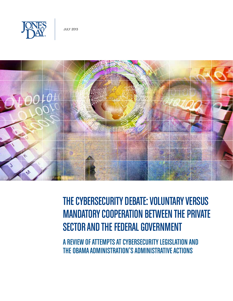



# The Cybersecurity Debate: Voluntary Versus Mandatory Cooperation Between the Private SECTOR AND THE FEDERAL GOVERNMENT

A REVIEW OF ATTEMPTS AT CYBERSECURITY LEGISLATION AND the Obama Administration's Administrative Actions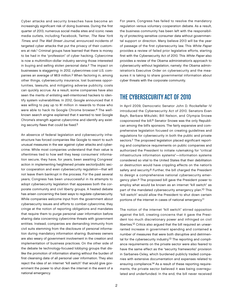Cyber attacks and security breaches have become an increasingly significant risk of doing business. During the first quarter of 2013, numerous social media sites and iconic news media outlets, including Facebook, Twitter, The New York Times, and The Wall Street Journal, announced incidents of targeted cyber attacks that put the privacy of their customers at risk.1 Criminal groups have learned that there is money to be had in the "profession" of cyber hacking. Cybercrime is now a multimillion-dollar industry serving those interested in buying and selling stolen personal data.2 The impact on businesses is staggering: In 2012, cybercrimes cost U.S. companies an average of \$8.9 million.3 When factoring in, among other things, cybersecurity insurance, lost business opportunities, lawsuits, and mitigating adverse publicity, costs can quickly accrue. As a result, some companies have also seen the merits of enlisting well-intentioned hackers to identify system vulnerabilities. In 2012, Google announced that it was willing to pay up to \$1 million in rewards to those who were able to hack its Google Chrome browser.4 The wellknown search engine explained that it wanted to test Google Chrome's strength against cybercrime and identify any existing security flaws that could be fixed.5

An absence of federal legislation and cybersecurity infrastructure has forced companies like Google to resort to such unusual measures in the war against cyber attacks and cybercrime. While most companies understand that their value is oftentimes tied to how well they keep consumers' information secure, they have, for years, been awaiting Congress' action in implementing heightened private sector/public sector cooperation and even cybersecurity regulation—that will not leave them bankrupt in the process. For the past several years, Congress has been unsuccessful in its attempts to adopt cybersecurity legislation that appeases both the corporate community and civil liberty groups. A heated debate has arisen concerning the best ways to regulate cybersecurity. While companies welcome input from the government about cybersecurity issues and efforts to combat cybercrime, they cringe at the notion of reporting obligations and mandates that require them to purge personal user information before sharing data concerning cybercrime threats with government entities. Instead, companies are demanding immunity from civil suits stemming from the disclosure of personal information during mandatory information sharing. Business owners are also weary of government involvement in the creation and implementation of business practices. On the other side of the debate lie technology-focused lobbying groups that dislike the promotion of information sharing without the burden of first cleansing data of all personal user information. They also reject the idea of an internet "kill switch" that would give government the power to shut down the internet in the event of a national emergency.

For years, Congress has failed to resolve the mandatory regulation versus voluntary cooperation debate. As a result, the business community has been left with the responsibility of protecting sensitive consumer data without governmental support or direction. Many believe 2013 will be the year of passage of the first cybersecurity law. This White Paper provides a review of failed prior legislative efforts, starting first with the Cybersecurity Act of 2010. This White Paper also provides a review of the Obama administration's approach to cybersecurity without legislation, namely: the Obama administration's Executive Order on cybersecurity and the measures it is taking to share governmental information about cyber threats with the corporate community.

## The Cybersecurity Act of 2010

In April 2009, Democratic Senator John D. Rockefeller IV introduced the Cybersecurity Act of 2010. Senators Evan Bayh, Barbara Mikulski, Bill Nelson, and Olympia Snowe cosponsored the bill.6 Senator Snowe was the only Republican among the bill's sponsors. The fairly expansive and comprehensive legislation focused on creating guidelines and regulations for cybersecurity in both the public and private sectors.<sup>7</sup> The proposed legislation placed significant reporting and compliance requirements on public companies and authorized the President to initiate rulemaking for "critical infrastructure information systems"—information systems considered so vital to the United States that their debilitation or destruction would have crippling effects on the nation's safety and security.<sup>8</sup> Further, the bill charged the President to design a comprehensive national cybersecurity emergency plan.9 The proposed bill gave the President power to employ what would be known as an internet "kill switch" as part of the mandated cybersecurity emergency plan.10 This "kill switch" would allow the President to shut down certain portions of the internet in cases of national emergency.11

The notion of the internet "kill switch" stirred opposition against the bill, creating concerns that it gave the President too much discretionary power and infringed on civil liberties.12 Critics also argued that the bill required an unwarranted increase in government spending and contained a number of measures that were both disruptive and detrimental for the cybersecurity industry.<sup>13</sup> The reporting and compliance requirements on the private sector were also feared to have the same effect as the "security frameworks" provision in Sarbanes-Oxley, which burdened publicly traded companies with extensive documentation and expenses related to ensuring compliance.14 As a result of these reporting requirements, the private sector believed it was being overregulated and underfunded. In the end, the bill never received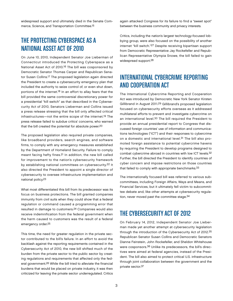widespread support and ultimately died in the Senate Commerce, Science, and Transportation Committee.15

# The Protecting Cyberspace as a National Asset Act of 2010

On June 10, 2010, Independent Senator Joe Lieberman of Connecticut introduced the Protecting Cyberspace as a National Asset Act of 2010.16 The bill was cosponsored by Democratic Senator Thomas Carper and Republican Senator Susan Collins.17 The proposed legislation again directed the President to create a cybersecurity emergency plan that included the authority to seize control of, or even shut down, portions of the internet.18 In an effort to allay fears that the bill provided the same controversial discretionary power for a presidential "kill switch" as that described in the Cybersecurity Act of 2010, Senators Lieberman and Collins issued a press release stressing that the bill only affected critical infrastructures—not the entire scope of the internet.19 The press release failed to subdue critics' concerns, who warned that the bill created the potential for absolute power.20

The proposed legislation also required private companies, like broadband providers, search engines, and software firms, to comply with any emergency measures established by the Department of Homeland Security. Failure to comply meant facing hefty fines.21 In addition, the new bill called for improvement to the nation's cybersecurity framework by establishing national committees on cybersecurity.22 It also directed the President to appoint a single director of cybersecurity to oversee infrastructure implementation and national policy.23

What most differentiated this bill from its predecessor was its focus on business protections. The bill granted companies immunity from civil suits when they could show that a federal regulation or command caused a programming error that resulted in damage to customers.24 Companies would also receive indemnification from the federal government when the harm caused to customers was the result of a federal emergency order.25

This time, the need for greater regulation in the private sector contributed to the bill's failure. In an effort to avoid the backlash against the reporting requirements contained in the Cybersecurity Act of 2010, the new bill shifted much of the burden from the private sector to the public sector by creating regulations and requirements that affected only the federal government.26 While the bill tried to alleviate the financial burdens that would be placed on private industry, it was then criticized for leaving the private sector underregulated. Critics

again attacked Congress for its failure to find a "sweet spot" between the business community and privacy interests.

Critics, including the nation's largest technology-focused lobbying group, were also focused on the possibility of another internet "kill switch."27 Despite receiving bipartisan support from Democratic Representative Jay Rockefeller and Republican Representative Olympia Snowe, the bill failed to gain widespread support.28

# International Cybercrime Reporting and Cooperation Act

The International Cybercrime Reporting and Cooperation Act was introduced by Democratic New York Senator Kirsten Gillibrand in August 2011.29 Gillibrand's proposed legislation focused on cybersecurity efforts overseas as it addressed multilateral efforts to prevent and investigate cybercrime on an international level.30 The bill required the President to provide an annual presidential report to Congress that discussed foreign countries' use of information and communications technologies ("ICT") and their responses to cybercrime on a domestic and international level.31 The bill also promoted foreign assistance to potential cybercrime havens by requiring the President to develop programs designed to combat cybercrime abroad in countries with low ICT levels.32 Further, the bill directed the President to identify countries of cyber concern and impose restrictions on those countries that failed to comply with appropriate benchmarks.33

The internationally focused bill was referred to various subcommittees, including Foreign Affairs, Ways and Means, and Financial Services, but it ultimately fell victim to subcommittee debate and, like other attempts at cybersecurity regulation, never moved past the committee stage.34

# The Cybersecurity Act of 2012

On February 14, 2012, Independent Senator Joe Lieberman made yet another attempt at cybersecurity legislation through the introduction of the Cybersecurity Act of 2012.35 Republican Senator Susan Collins and Democratic Senators Dianne Feinstein, John Rockefeller, and Sheldon Whitehouse were cosponsors.36 Unlike its predecessors, the bill's directives were aimed at federal agencies, instead of the President. The bill also aimed to protect critical U.S. infrastructure through joint collaboration between the government and the private sector.37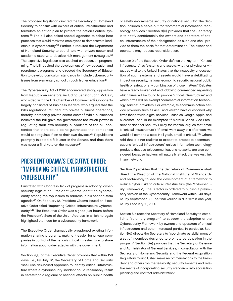The proposed legislation directed the Secretary of Homeland Security to consult with owners of critical infrastructure and formulate an action plan to protect the nation's critical systems.38 The bill also asked federal agencies to adopt best practices that would motivate employees to demonstrate leadership in cybersecurity.<sup>39</sup> Further, it required the Department of Homeland Security to coordinate with private sector and academic experts to develop risk management strategies.40 The expansive legislation also touched on education programming. The bill required the development of new education and recruitment programs and directed the Secretary of Education to develop curriculum standards to include cybersecurity issues from elementary school through higher education.41

The Cybersecurity Act of 2012 encountered strong opposition from Republican senators, including Senator John McCain, who sided with the U.S. Chamber of Commerce.42 Opponents largely consisted of business leaders, who argued that the bill's regulations intruded into private business operations, thereby increasing private sector costs.43 While businesses believed the bill gave the government too much power in regulating their own security, supporters of the bill contended that there could be no guarantees that companies would self-regulate if left to their own devices.44 Republicans promptly initiated a filibuster in the Senate, and thus there was never a final vote on the measure.45

# President Obama's Executive Order: "Improving Critical Infrastructure Cybersecurity"

Frustrated with Congress' lack of progress in adopting cybersecurity legislation, President Obama identified cybersecurity among the top issues to address in his second-term agenda.46 On February 12, President Obama issued an Executive Order titled "Improving Critical Infrastructure Cybersecurity."47 The Executive Order was signed just hours before the President's State of the Union Address, in which he again highlighted the need for a cybersecurity framework.

The Executive Order dramatically broadened existing information sharing programs, making it easier for private companies in control of the nation's critical infrastructure to share information about cyber attacks with the government.

Section 9(a) of the Executive Order provides that within 150 days, i.e., by July 12, the Secretary of Homeland Security "shall use risk-based approach to identify critical infrastructure where a cybersecurity incident could reasonably result in catastrophic regional or national effects on public health or safety, e-commerce security, or national security." The Section includes a carve-out for "commercial information technology services." Section 9(e) provides that the Secretary is to notify confidentially the owners and operators of critical infrastructure of their designation as such and shall provide to them the basis for that determination. The owner and operators may request reconsideration.

Section 2 of the Executive Order defines the key term "Critical Infrastructure" as "systems and assets, whether physical or virtual, so vital to the United States that the incapacity or destruction of such systems and assets would have a debilitating impact on security, national economic security, national public health or safety, or any combination of those matters." Debates have already broken out and lobbying commenced regarding which firms will be found to provide "critical infrastructure" and which firms will be exempt "commercial information technology service" providers. For example, telecommunication service providers such as AT&T and Verizon have questioned why firms that provide digital services—such as Google, Apple, and Microsoft—should be exempted.48 Marcus Sachs, Vice President of National Security Policy for Verizon, argues that email is "critical infrastructure": "If email went away this afternoon, we would all come to a stop. Hell yeah, email is critical."49 Others add that it is not realistic to expect to protect telecommunications "critical infrastructure" unless information technology products that use telecommunications networks are also considered because hackers will naturally attack the weakest link in any network.

Section 7 provides that the Secretary of Commerce shall direct the Director of the National Institute of Standards and Technology to lead the development of a framework to reduce cyber risks to critical infrastructure (the "Cybersecurity Framework"). The Director is ordered to publish a preliminary version of the Cybersecurity Framework within 240 days, i.e., by September 30. The final version is due within one year, i.e., by February 12, 2014.

Section 8 directs the Secretary of Homeland Security to establish a "voluntary program" to support the adoption of the Cybersecurity Framework by owners and operators of critical infrastructure and other interested parties. In particular, Section 8(d) directs the Secretary to "coordinate establishment of a set of incentives designed to promote participation in the program." Section 8(e) provides that the Secretary of Defense and Administrator of General Services, in consultation with the Secretary of Homeland Security and the Federal Acquisition Regulatory Council, shall make recommendations to the President and others "on the feasibility, security benefits and relative merits of incorporating security standards, into acquisition planning and contract administration."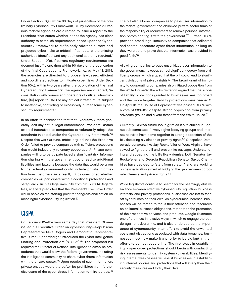Under Section 10(a), within 90 days of publication of the preliminary Cybersecurity Framework, i.e., by December 29, various federal agencies are directed to issue a report to the President "that states whether or not the agency has clear authority to establish requirements based upon the Cybersecurity Framework to sufficiently address current and projected cyber risks to critical infrastructure, the existing authorities identified, and any additional authority required." Under Section 10(b), if current regulatory requirements are deemed insufficient, then within 90 days of the publication of the final Cybersecurity Framework, i.e., by May 13, 2014, the agencies are directed to propose risk-based, efficient and coordinated actions to mitigate cyber risks. Under Section 10(c), within two years after the publication of the final Cybersecurity Framework, the agencies are directed, "in consultation with owners and operators of critical infrastructure, [to] report to CMB or any critical infrastructure subject to ineffective, conflicting or excessively burdensome cybersecurity requirements."

In an effort to address the fact that Executive Orders generally lack any actual legal enforcement, President Obama offered incentives to companies to voluntarily adopt the standards initiated under the Cybersecurity Framework.50 Despite this work-around, critics argued that the Executive Order failed to provide companies with sufficient protections that would induce any voluntary cooperation.<sup>51</sup> Private companies willing to participate faced a significant risk: Information sharing with the government could lead to additional liabilities and lawsuits because the data that would be given to the federal government could include private information from customers. As a result, critics questioned whether companies will participate without additional protections and safeguards, such as legal immunity from civil suits.52 Regardless, analysts predicted that the President's Executive Order would serve as the starting point for congressional action on meaningful cybersecurity legislation.53

## CISPA

On February 12—the very same day that President Obama issued his Executive Order on cybersecurity—Republican Representative Mike Rogers and Democratic Representative Dutch Ruppersberger introduced the Cyber Intelligence Sharing and Protection Act ("CISPA").54 The proposed bill required the Director of National Intelligence to establish procedures that would allow the federal government, including the intelligence community, to share cyber threat information with the private sector.55 Upon receipt of such information, private entities would thereafter be prohibited from further disclosure of the cyber threat information to third parties.56 The bill also allowed companies to pass user information to the federal government and absolved private sector firms of the responsibility or requirement to remove personal information before sharing it with the government.57 Further, CISPA provided broad legal immunity to companies that collected and shared inaccurate cyber threat information, as long as they were able to prove that the information was provided in good faith.58

Allowing companies to pass unsanitized user information to the government, however, stirred significant outcry from civil liberty groups, which argued that the bill could lead to significant violations of privacy rights.59 The broad grant of immunity to cooperating companies also initiated opposition from the White House.<sup>60</sup> The administration argued that the scope of liability protections granted to businesses was too broad and that more targeted liability protections were needed.<sup>61</sup> On April 18, the House of Representatives passed CISPA with a vote of 288–127, despite strong opposition from privacy advocate groups and a veto threat from the White House.62

Currently, CISPA's future looks grim as it sits stalled in Senate subcommittee. Privacy rights lobbying groups and internet activists have come together in strong opposition of the bill, declaring a violation of privacy rights.63 Outspoken Democratic senators, like Jay Rockefeller of West Virginia, have vowed to fight the bill and prevent its passage. Understanding and accepting the bill's likely demise, both Senator Jay Rockefeller and Georgia Republican Senator Saxby Chambliss have decided to "start from scratch," and are working on new legislation aimed at bridging the gap between corporate interests and privacy rights.64

While legislators continue to search for the seemingly elusive balance between effective cybersecurity regulation, business interests, and privacy protections, businesses are left to fend off cybercrimes on their own. As cybercrimes increase, businesses will be forced to focus their attention and resources on collateral business obligations, rather than the promotion of their respective services and products. Google illustrates one of the most innovative ways in which to engage the battle against cybercrime, and it also underscores the importance of cybersecurity. In an effort to avoid the unwanted costs and distractions associated with data breaches, businesses must now make it a priority to be vigilant in their efforts to combat cybercrime. The first steps in establishing proper cyber protections should begin with conducting risk assessments to identify system vulnerabilities. Identifying internal weaknesses will assist businesses in establishing internal policies and protections that will strengthen their security measures and fortify their data.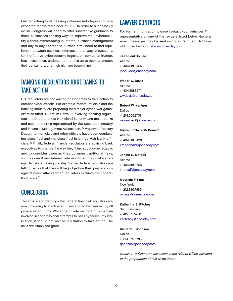Further attempts at passing cybersecurity legislation are expected for the remainder of 2013. In order to successfully do so, Congress will need to offer substantive guidance to those businesses seeking ways to improve their cybersecurity without overstepping in internal business management and day-to-day operations. Further, it will need to find equilibrium between business interests and privacy protections. Until effective cybersecurity legislation comes to fruition, businesses must understand that it is up to them to protect their consumers, and their ultimate bottom line.

# Banking Regulators Urge Banks to Take Action

U.S. regulators are not waiting on Congress to take action to combat cyber attacks. For example, federal officials and the banking industry are preparing for a major cyber "war game" exercise titled "Quantum Dawn 2" involving banking regulators, the Department of Homeland Security, and major banks and securities firms represented by the Securities Industry and Financial Management Association.65 Moreover, Treasury Department officials and other officials have been conducting classified and nonclassified briefings with bank officials.66 Finally, federal financial regulators are advising bank executives to change the way they think about cyber attacks and to consider them as they do more traditional risks, such as credit and interest rate risk, when they make strategy decisions. Taking it a step further, federal regulators are telling banks that they will be judged on their preparations against cyber attacks when regulators evaluate their operational risks.67

## **CONCLUSION**

The advice and warnings that federal financial regulators are now providing to bank executives should be heeded by all private sector firms. While the private sector should remain involved in congressional attempts to pass cybersecurity legislation, it should not wait on legislation to take action. The risks are simply too great.

# Lawyer Contacts

For further information, please contact your principal Firm representative or one of the lawyers listed below. General email messages may be sent using our "Contact Us" form, which can be found at [www.jonesday.com.](http://www.jonesday.com)

#### Jean-Paul Boulee Atlanta +1.404.581.8456 [jpboulee@jonesday.com](mailto:jpboulee@jonesday.com)

Walter W. Davis Atlanta +1.404.581.8517 [wwdavis@jonesday.com](mailto:wwdavis@jonesday.com)

Robert W. Kantner Dallas +1.214.969.3737 [rwkantner@jonesday.com](mailto:rwkantner@jonesday.com)

## Kristen Pollock McDonald Atlanta

+1.404.581.8498 [kmcdonald@jonesday.com](mailto:kmcdonald@jonesday.com)

Janine C. Metcalf Atlanta +1.404.581.8656 [jmetcalf@jonesday.com](mailto:jmetcalf@jonesday.com)

#### Mauricio F. Paez

New York +1.212.326.7889 [mfpaez@jonesday.com](mailto:mfpaez@jonesday.com)

### Katherine S. Ritchey

San Francisco +1.415.875.5728 [ksritchey@jonesday.com](mailto:ksritchey@jonesday.com)

#### Richard J. Johnson Dallas +1.214.969.3788

[rjohnson@jonesday.com](mailto:rjohnson@jonesday.com)

Natalie A. Williams, an associate in the Atlanta Office, assisted in the preparation of this White Paper.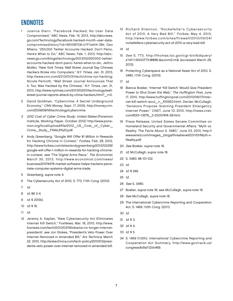# Endnotes

- 1 Joanna Stern, "Facebook Hacked; No User Data Compromised," ABC News, Feb. 15, 2013, http://abcnews. go.com/Technology/facebook-hacked-month-user-datacompromised/story?id=18515870#.UYFVeKK-1Bk; Dan Milano, "250,000 Twitter Accounts Hacked: Don't Panic, Here's What to Do," ABC News, Feb. 1, 2013, http://abcnews.go.com/blogs/technology/2013/02/250000-twitteraccounts-hacked-dont-panic-heres-what-to-do; Jethro Mullen, "New York Times, Wall Street Journal Say Chinese Hackers Broke into Computers," N.Y. Times, Jan. 31, 2013, http://www.cnn.com/2013/01/31/tech/china-nyt-hacking; Nicole Perlroth, "Wall Street Journal Announces That It, Too, Was Hacked by the Chinese," N.Y. Times, Jan. 31, 2013, http://www.nytimes.com/2013/02/01/technology/wallstreet-journal-reports-attack-by-china-hackers.html?\_r=0.
- 2 David Goldman, "Cybercrime: A Secret Underground Economy," CNN Money, Sept. 17, 2009, http://money.cnn. com/2009/09/16/technology/cybercrime.
- 3 2012 Cost of Cyber Crime Study: United States (Ponemon Institute, Working Paper, October 2012) http://www.ponemon.org/local/upload/file/2012\_US\_Cost\_of\_Cyber\_ Crime\_Study\_FINAL6%20.pdf.
- 4 Andy Greenberg, "Google Will Offer \$1 Million in Rewards for Hacking Chrome in Contest," Forbes, Feb. 28, 2012, http://www.forbes.com/sites/andygreenberg/2012/02/28/ google-will-offer-1-million-in-rewards-for-hacking-chromein-contest; see "The Digital Arms Race," The Economist, March 30, 2013, http://www.economist.com/news/ business/21574478-market-software-helps-hackers-penetrate-computer-systems-digital-arms-trade.
- 5 Greenberg, supra note 4.
- 6 The Cybersecurity Act of 2010, S. 773, 111th Cong. (2010).
- 7 Id.
- 8 Id. §§ 3-4.
- 9 Id. § 201(b).
- 10 Id. § 18.
- 11 Id.
- 12 Jeremy A. Kaplan, "New Cybersecurity Act Eliminates Internet Kill Switch," FoxNews, Mar. 18, 2010, http://www. foxnews.com/tech/2010/03/18/obama-no-longer-internetpresident/; see Jon Stokes, "President's Veto Power Over Internet Removed in Amended Bill," Ars Technica, March 22, 2010, http://arstechnica.com/tech-policy/2010/03/presidents-veto-power-over-internet-removed-in-amended-bill.
- 13 Richard Stiennon, "Rockefeller's Cybersecurity Act of 2010: A Very Bad Bill," Forbes, May 4, 2010, http://www.forbes.com/sites/firewall/2010/05/04/ rockefellers-cybersecurity-act-of-2010-a-very-bad-bill.
- 14 Id.
- 15 See S. 773, http://thomas.loc.gov/cgi-bin/bdquery/ z?d111:SN00773:@@@L&summ2=m& (accessed March 26, 2013).
- 16 Protecting Cyberspace as a National Asset Act of 2010, S. 3480, 111th Cong. (2010).
- 17 Id.
- 18 Bianca Bosker, "Internet 'Kill Switch' Would Give President Power to Shut Down the Web," The Huffington Post, June 17, 2010, http://www.huffingtonpost.com/2010/06/17/internet-kill-switch-woul\_n\_615923.html; Declan McCullagh, "Senators Propose Granting President Emergency Internet Power," CNET, June 10, 2010, http://news.cnet. com/8301-13578\_3-20007418-38.html.
- 19 Press Release, United States Senate Committee on Homeland Security and Governmental Affairs, "Myth vs. Reality: The Facts About S. 3480," June 23, 2010, http:// www.wired.com/images\_blogs/threatlevel/2011/01/Myth-v-Reality.pdf.
- 20 See Bosker, supra note 18.
- 21 Id; McCullagh, supra note 18.
- 22 S. 3480, §§ 101-102.
- 23 Id.
- 24 Id. § 249.
- 25 Id.
- 26 See S. 3480.
- 27 Bosker, supra note 18; see McCullagh, supra note 18.
- 28 See McCullagh, supra note 18.
- 29 The International Cybercrime Reporting and Cooperation Act, S. 1469, 112th Cong. (2011).
- 30 Id.
- 31 Id. § 3.
- 32 Id. § 4.
- 33 Id. § 5.
- 34 S. 1469 (112th): International Cybercrime Reporting and Cooperation Act Summary, http://www.govtrack.us/ congress/bills/112/s1469.